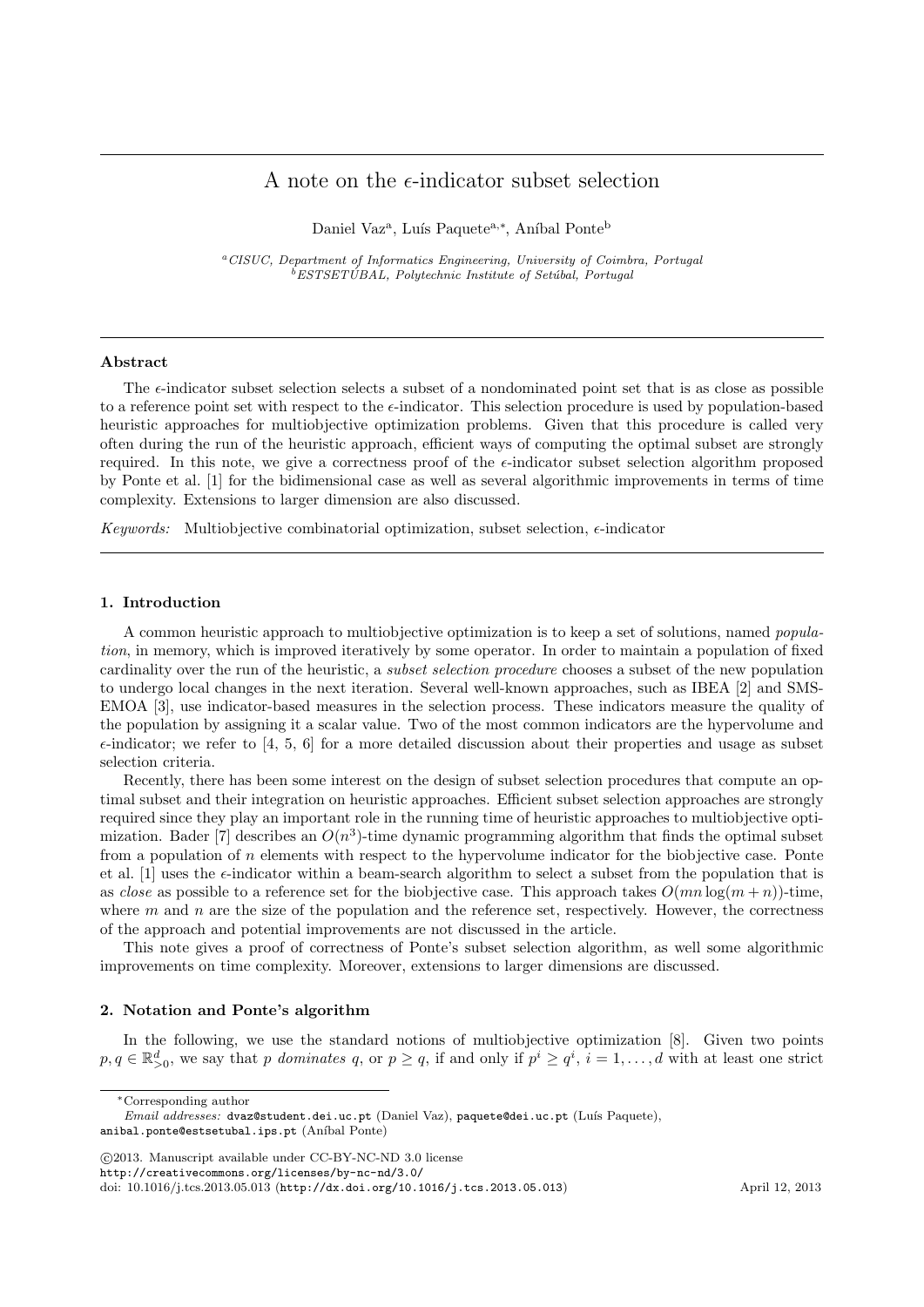# A note on the  $\epsilon$ -indicator subset selection

Daniel Vaz<sup>a</sup>, Luís Paquete<sup>a,\*</sup>, Aníbal Ponte<sup>b</sup>

<sup>a</sup>CISUC, Department of Informatics Engineering, University of Coimbra, Portugal  ${}^{b}ESTSETÚBAL$ , Polytechnic Institute of Setúbal, Portugal

# Abstract

The  $\epsilon$ -indicator subset selection selects a subset of a nondominated point set that is as close as possible to a reference point set with respect to the  $\epsilon$ -indicator. This selection procedure is used by population-based heuristic approaches for multiobjective optimization problems. Given that this procedure is called very often during the run of the heuristic approach, efficient ways of computing the optimal subset are strongly required. In this note, we give a correctness proof of the  $\epsilon$ -indicator subset selection algorithm proposed by Ponte et al. [1] for the bidimensional case as well as several algorithmic improvements in terms of time complexity. Extensions to larger dimension are also discussed.

Keywords: Multiobjective combinatorial optimization, subset selection,  $\epsilon$ -indicator

# 1. Introduction

A common heuristic approach to multiobjective optimization is to keep a set of solutions, named population, in memory, which is improved iteratively by some operator. In order to maintain a population of fixed cardinality over the run of the heuristic, a subset selection procedure chooses a subset of the new population to undergo local changes in the next iteration. Several well-known approaches, such as IBEA [2] and SMS-EMOA [3], use indicator-based measures in the selection process. These indicators measure the quality of the population by assigning it a scalar value. Two of the most common indicators are the hypervolume and  $\epsilon$ -indicator; we refer to [4, 5, 6] for a more detailed discussion about their properties and usage as subset selection criteria.

Recently, there has been some interest on the design of subset selection procedures that compute an optimal subset and their integration on heuristic approaches. Efficient subset selection approaches are strongly required since they play an important role in the running time of heuristic approaches to multiobjective optimization. Bader [7] describes an  $O(n^3)$ -time dynamic programming algorithm that finds the optimal subset from a population of  $n$  elements with respect to the hypervolume indicator for the biobjective case. Ponte et al. [1] uses the  $\epsilon$ -indicator within a beam-search algorithm to select a subset from the population that is as close as possible to a reference set for the biobjective case. This approach takes  $O(mn \log(m + n))$ -time, where  $m$  and  $n$  are the size of the population and the reference set, respectively. However, the correctness of the approach and potential improvements are not discussed in the article.

This note gives a proof of correctness of Ponte's subset selection algorithm, as well some algorithmic improvements on time complexity. Moreover, extensions to larger dimensions are discussed.

# 2. Notation and Ponte's algorithm

In the following, we use the standard notions of multiobjective optimization [8]. Given two points  $p, q \in \mathbb{R}^d_{\geq 0}$ , we say that p dominates q, or  $p \geq q$ , if and only if  $p^i \geq q^i$ ,  $i = 1, \ldots, d$  with at least one strict

c 2013. Manuscript available under CC-BY-NC-ND 3.0 license

http://creativecommons.org/licenses/by-nc-nd/3.0/

doi: 10.1016/j.tcs.2013.05.013 (http://dx.doi.org/10.1016/j.tcs.2013.05.013) April 12, 2013

<sup>∗</sup>Corresponding author

Email addresses: dvaz@student.dei.uc.pt (Daniel Vaz), paquete@dei.uc.pt (Luís Paquete), anibal.ponte@estsetubal.ips.pt (Aníbal Ponte)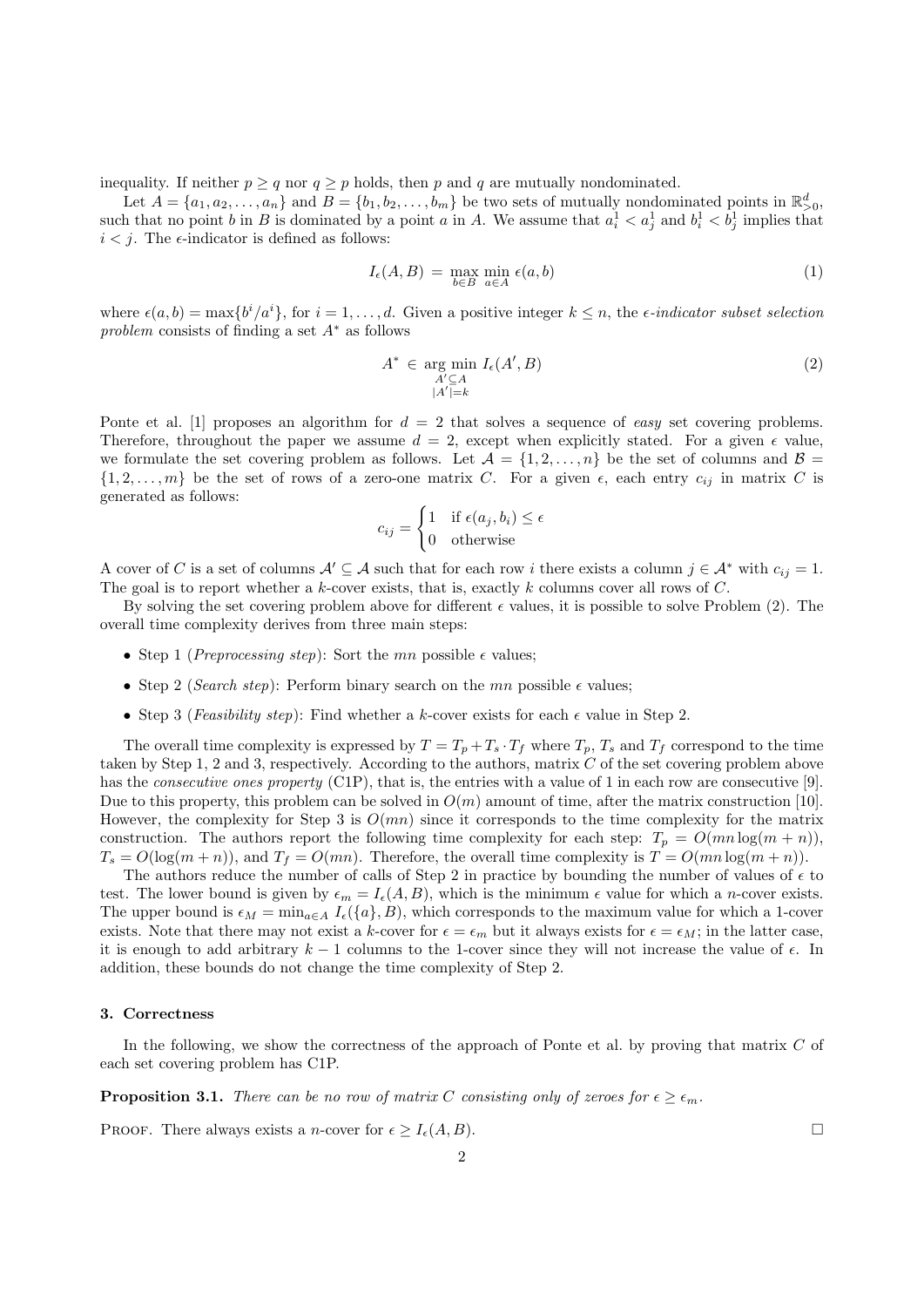inequality. If neither  $p \ge q$  nor  $q \ge p$  holds, then p and q are mutually nondominated.

Let  $A = \{a_1, a_2, \ldots, a_n\}$  and  $B = \{b_1, b_2, \ldots, b_m\}$  be two sets of mutually nondominated points in  $\mathbb{R}^d_{>0}$ , such that no point b in B is dominated by a point a in A. We assume that  $a_i^1 < a_j^1$  and  $b_i^1 < b_j^1$  implies that  $i < j$ . The  $\epsilon$ -indicator is defined as follows:

$$
I_{\epsilon}(A,B) = \max_{b \in B} \min_{a \in A} \epsilon(a,b)
$$
 (1)

where  $\epsilon(a, b) = \max\{b^i/a^i\}$ , for  $i = 1, \ldots, d$ . Given a positive integer  $k \leq n$ , the  $\epsilon$ -indicator subset selection problem consists of finding a set  $A^*$  as follows

$$
A^* \in \underset{A' \subseteq A}{\text{arg min}} \ I_{\epsilon}(A', B) \tag{2}
$$

$$
\underset{|A'| = k}{\overset{A' \subseteq A}{\longrightarrow}} \tag{2}
$$

Ponte et al. [1] proposes an algorithm for  $d = 2$  that solves a sequence of easy set covering problems. Therefore, throughout the paper we assume  $d = 2$ , except when explicitly stated. For a given  $\epsilon$  value, we formulate the set covering problem as follows. Let  $\mathcal{A} = \{1, 2, ..., n\}$  be the set of columns and  $\mathcal{B} =$  $\{1, 2, \ldots, m\}$  be the set of rows of a zero-one matrix C. For a given  $\epsilon$ , each entry  $c_{ij}$  in matrix C is generated as follows:

$$
c_{ij} = \begin{cases} 1 & \text{if } \epsilon(a_j, b_i) \le \epsilon \\ 0 & \text{otherwise} \end{cases}
$$

A cover of C is a set of columns  $\mathcal{A}' \subseteq \mathcal{A}$  such that for each row i there exists a column  $j \in \mathcal{A}^*$  with  $c_{ij} = 1$ . The goal is to report whether a k-cover exists, that is, exactly k columns cover all rows of  $C$ .

By solving the set covering problem above for different  $\epsilon$  values, it is possible to solve Problem (2). The overall time complexity derives from three main steps:

- Step 1 (*Preprocessing step*): Sort the mn possible  $\epsilon$  values;
- Step 2 (Search step): Perform binary search on the mn possible  $\epsilon$  values;
- Step 3 (Feasibility step): Find whether a k-cover exists for each  $\epsilon$  value in Step 2.

The overall time complexity is expressed by  $T = T_p + T_s \cdot T_f$  where  $T_p$ ,  $T_s$  and  $T_f$  correspond to the time taken by Step 1, 2 and 3, respectively. According to the authors, matrix C of the set covering problem above has the *consecutive ones property* (C1P), that is, the entries with a value of 1 in each row are consecutive [9]. Due to this property, this problem can be solved in  $O(m)$  amount of time, after the matrix construction [10]. However, the complexity for Step 3 is  $O(mn)$  since it corresponds to the time complexity for the matrix construction. The authors report the following time complexity for each step:  $T_p = O(mn \log(m + n))$ ,  $T_s = O(\log(m+n))$ , and  $T_f = O(mn)$ . Therefore, the overall time complexity is  $T = O(mn \log(m+n))$ .

The authors reduce the number of calls of Step 2 in practice by bounding the number of values of  $\epsilon$  to test. The lower bound is given by  $\epsilon_m = I_{\epsilon}(A, B)$ , which is the minimum  $\epsilon$  value for which a *n*-cover exists. The upper bound is  $\epsilon_M = \min_{a \in A} I_{\epsilon}(\{a\}, B)$ , which corresponds to the maximum value for which a 1-cover exists. Note that there may not exist a k-cover for  $\epsilon = \epsilon_m$  but it always exists for  $\epsilon = \epsilon_M$ ; in the latter case, it is enough to add arbitrary  $k - 1$  columns to the 1-cover since they will not increase the value of  $\epsilon$ . In addition, these bounds do not change the time complexity of Step 2.

# 3. Correctness

In the following, we show the correctness of the approach of Ponte et al. by proving that matrix  $C$  of each set covering problem has C1P.

**Proposition 3.1.** There can be no row of matrix C consisting only of zeroes for  $\epsilon > \epsilon_m$ .

PROOF. There always exists a *n*-cover for  $\epsilon \geq I_{\epsilon}(A, B)$ .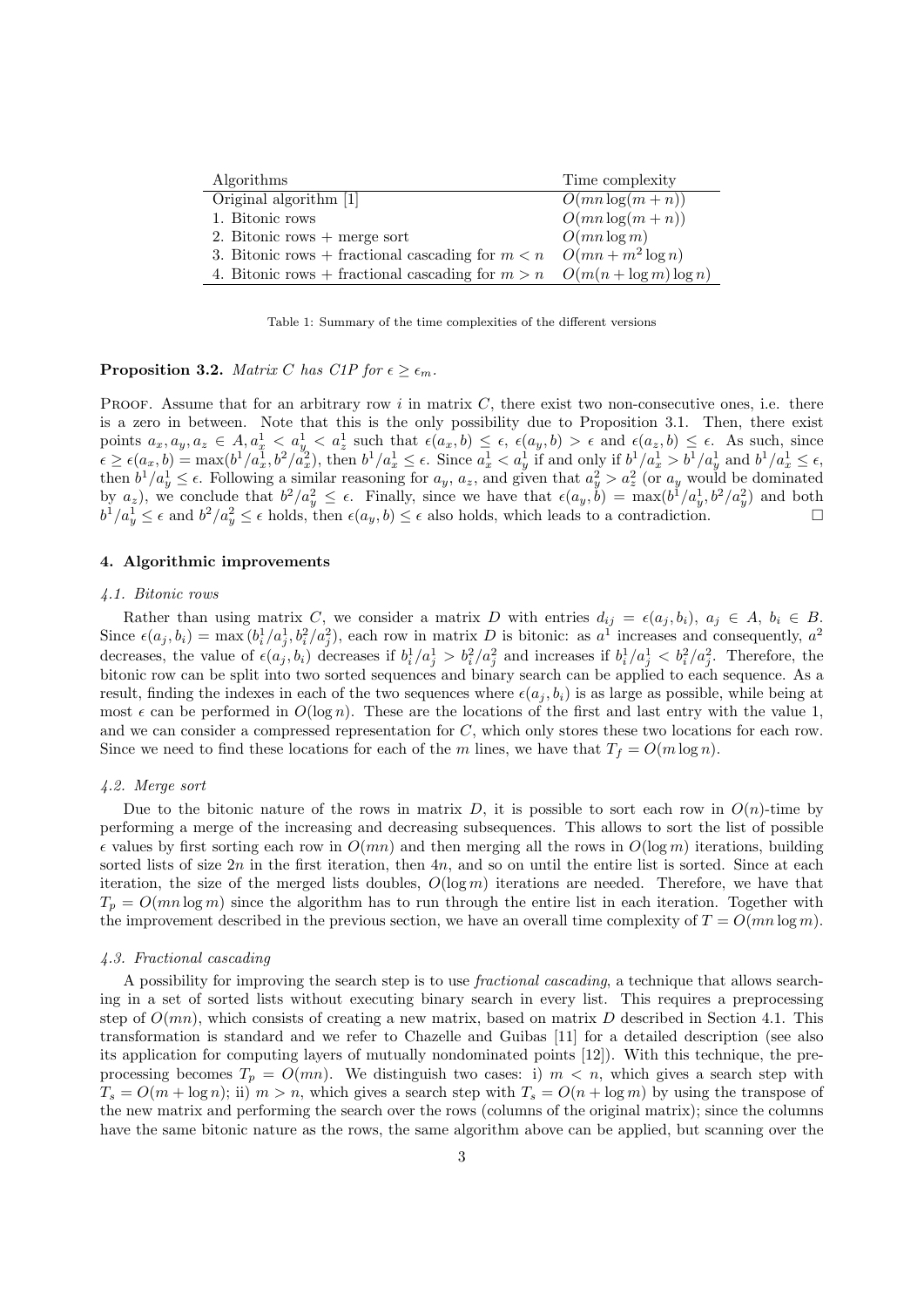| Algorithms                                                                   | Time complexity   |
|------------------------------------------------------------------------------|-------------------|
| Original algorithm [1]                                                       | $O(mn \log(m+n))$ |
| 1. Bitonic rows                                                              | $O(mn \log(m+n))$ |
| 2. Bitonic rows $+$ merge sort                                               | $O(mn \log m)$    |
| 3. Bitonic rows + fractional cascading for $m < n$ $O(mn + m^2 \log n)$      |                   |
| 4. Bitonic rows + fractional cascading for $m > n$ $O(m(n + \log m) \log n)$ |                   |

Table 1: Summary of the time complexities of the different versions

**Proposition 3.2.** Matrix C has C1P for  $\epsilon \geq \epsilon_m$ .

PROOF. Assume that for an arbitrary row  $i$  in matrix  $C$ , there exist two non-consecutive ones, i.e. there is a zero in between. Note that this is the only possibility due to Proposition 3.1. Then, there exist points  $a_x, a_y, a_z \in A, a_x^1 < a_y^1 < a_z^1$  such that  $\epsilon(a_x, b) \leq \epsilon$ ,  $\epsilon(a_y, b) > \epsilon$  and  $\epsilon(a_z, b) \leq \epsilon$ . As such, since  $\epsilon \geq \epsilon(a_x, b) = \max(b^1/a_x^1, b^2/a_x^2)$ , then  $b^1/a_x^1 \leq \epsilon$ . Since  $a_x^1 < a_y^1$  if and only if  $b^1/a_x^1 > b^1/a_y^1$  and  $b^1/a_x^1 \leq \epsilon$ , then  $b^1/a_y^1 \leq \epsilon$ . Following a similar reasoning for  $a_y$ ,  $a_z$ , and given that  $a_y^2 > a_z^2$  (or  $a_y$  would be dominated by  $a_z$ ), we conclude that  $b^2/a_y^2 \leq \epsilon$ . Finally, since we have that  $\epsilon(a_y, \check{b}) = \max(b^1/a_y^1, b^2/a_y^2)$  and both  $b^1/a_y^1 \leq \epsilon$  and  $b^2/a_y^2 \leq \epsilon$  holds, then  $\epsilon(a_y, b) \leq \epsilon$  also holds, which leads to a contradiction.

# 4. Algorithmic improvements

#### 4.1. Bitonic rows

Rather than using matrix C, we consider a matrix D with entries  $d_{ij} = \epsilon(a_j, b_i)$ ,  $a_j \in A$ ,  $b_i \in B$ . Since  $\epsilon(a_j, b_i) = \max(b_i^1/a_j^1, b_i^2/a_j^2)$ , each row in matrix D is bitonic: as  $a^1$  increases and consequently,  $a^2$ decreases, the value of  $\epsilon(a_j, b_i)$  decreases if  $b_i^1/a_j^1 > b_i^2/a_j^2$  and increases if  $b_i^1/a_j^1 < b_i^2/a_j^2$ . Therefore, the bitonic row can be split into two sorted sequences and binary search can be applied to each sequence. As a result, finding the indexes in each of the two sequences where  $\epsilon(a_j, b_i)$  is as large as possible, while being at most  $\epsilon$  can be performed in  $O(\log n)$ . These are the locations of the first and last entry with the value 1, and we can consider a compressed representation for C, which only stores these two locations for each row. Since we need to find these locations for each of the m lines, we have that  $T_f = O(m \log n)$ .

# 4.2. Merge sort

Due to the bitonic nature of the rows in matrix D, it is possible to sort each row in  $O(n)$ -time by performing a merge of the increasing and decreasing subsequences. This allows to sort the list of possible  $\epsilon$  values by first sorting each row in  $O(mn)$  and then merging all the rows in  $O(\log m)$  iterations, building sorted lists of size  $2n$  in the first iteration, then  $4n$ , and so on until the entire list is sorted. Since at each iteration, the size of the merged lists doubles,  $O(\log m)$  iterations are needed. Therefore, we have that  $T_p = O(mn \log m)$  since the algorithm has to run through the entire list in each iteration. Together with the improvement described in the previous section, we have an overall time complexity of  $T = O(mn \log m)$ .

# 4.3. Fractional cascading

A possibility for improving the search step is to use fractional cascading, a technique that allows searching in a set of sorted lists without executing binary search in every list. This requires a preprocessing step of  $O(mn)$ , which consists of creating a new matrix, based on matrix D described in Section 4.1. This transformation is standard and we refer to Chazelle and Guibas [11] for a detailed description (see also its application for computing layers of mutually nondominated points [12]). With this technique, the preprocessing becomes  $T_p = O(mn)$ . We distinguish two cases: i)  $m < n$ , which gives a search step with  $T_s = O(m + \log n)$ ; ii)  $m > n$ , which gives a search step with  $T_s = O(n + \log m)$  by using the transpose of the new matrix and performing the search over the rows (columns of the original matrix); since the columns have the same bitonic nature as the rows, the same algorithm above can be applied, but scanning over the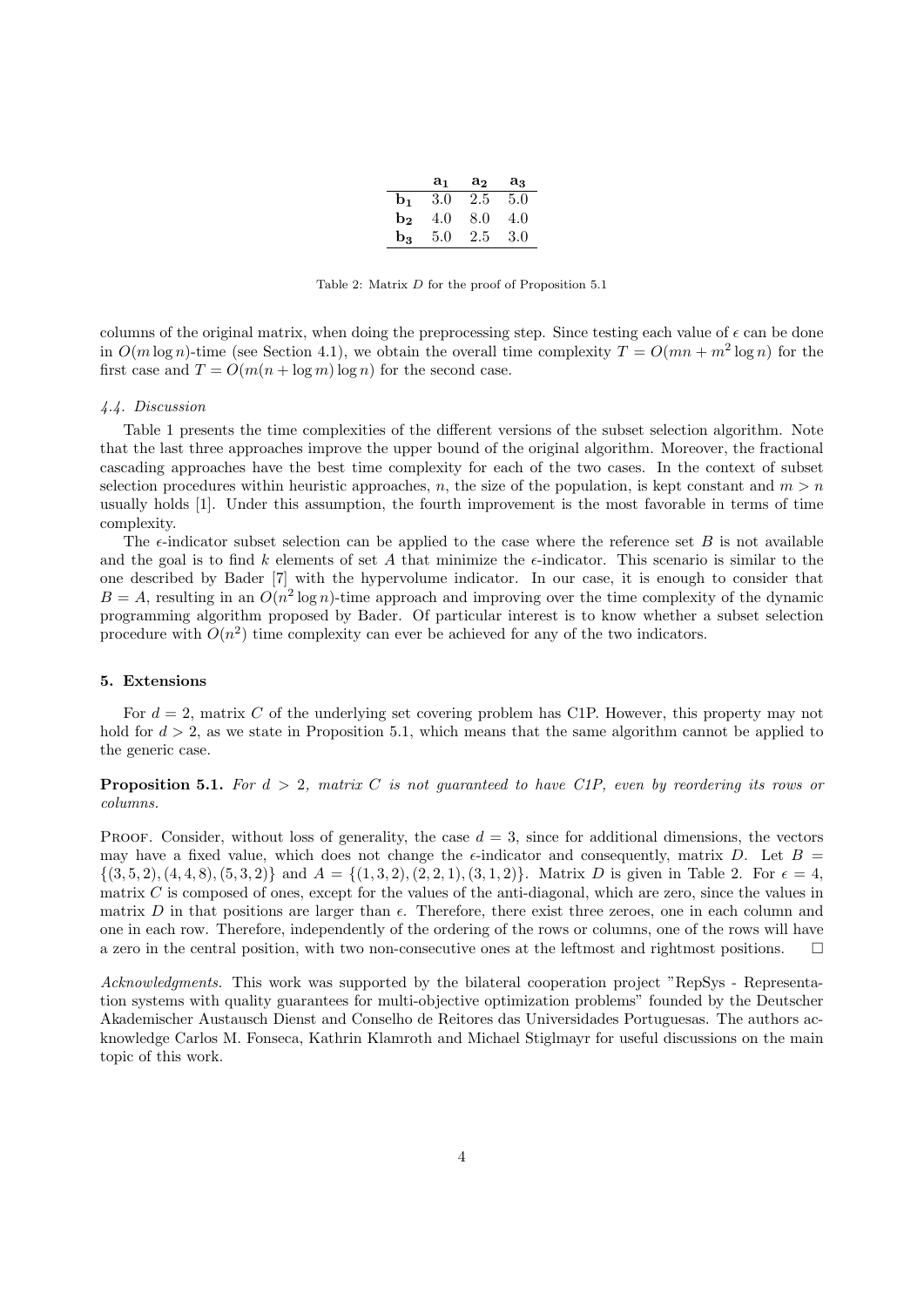|                | a <sub>1</sub> | $a_2$ | $a_3$ |
|----------------|----------------|-------|-------|
| $\mathbf{b}_1$ | 3.0            | 2.5   | 5.0   |
| b <sub>2</sub> | 4.0            | 8.0   | 4.0   |
| bз             | 5.0            | 2.5   | 3.0   |

Table 2: Matrix D for the proof of Proposition 5.1

columns of the original matrix, when doing the preprocessing step. Since testing each value of  $\epsilon$  can be done in  $O(m \log n)$ -time (see Section 4.1), we obtain the overall time complexity  $T = O(mn + m^2 \log n)$  for the first case and  $T = O(m(n + \log m) \log n)$  for the second case.

### 4.4. Discussion

Table 1 presents the time complexities of the different versions of the subset selection algorithm. Note that the last three approaches improve the upper bound of the original algorithm. Moreover, the fractional cascading approaches have the best time complexity for each of the two cases. In the context of subset selection procedures within heuristic approaches, n, the size of the population, is kept constant and  $m > n$ usually holds [1]. Under this assumption, the fourth improvement is the most favorable in terms of time complexity.

The  $\epsilon$ -indicator subset selection can be applied to the case where the reference set B is not available and the goal is to find k elements of set A that minimize the  $\epsilon$ -indicator. This scenario is similar to the one described by Bader [7] with the hypervolume indicator. In our case, it is enough to consider that  $B = A$ , resulting in an  $O(n^2 \log n)$ -time approach and improving over the time complexity of the dynamic programming algorithm proposed by Bader. Of particular interest is to know whether a subset selection procedure with  $O(n^2)$  time complexity can ever be achieved for any of the two indicators.

# 5. Extensions

For  $d = 2$ , matrix C of the underlying set covering problem has C1P. However, this property may not hold for  $d > 2$ , as we state in Proposition 5.1, which means that the same algorithm cannot be applied to the generic case.

**Proposition 5.1.** For  $d > 2$ , matrix C is not quaranteed to have C1P, even by reordering its rows or columns.

PROOF. Consider, without loss of generality, the case  $d = 3$ , since for additional dimensions, the vectors may have a fixed value, which does not change the  $\epsilon$ -indicator and consequently, matrix D. Let B =  $\{(3,5,2), (4,4,8), (5,3,2)\}\$ and  $A = \{(1,3,2), (2,2,1), (3,1,2)\}\$ . Matrix D is given in Table 2. For  $\epsilon = 4$ , matrix C is composed of ones, except for the values of the anti-diagonal, which are zero, since the values in matrix D in that positions are larger than  $\epsilon$ . Therefore, there exist three zeroes, one in each column and one in each row. Therefore, independently of the ordering of the rows or columns, one of the rows will have a zero in the central position, with two non-consecutive ones at the leftmost and rightmost positions.

Acknowledgments. This work was supported by the bilateral cooperation project "RepSys - Representation systems with quality guarantees for multi-objective optimization problems" founded by the Deutscher Akademischer Austausch Dienst and Conselho de Reitores das Universidades Portuguesas. The authors acknowledge Carlos M. Fonseca, Kathrin Klamroth and Michael Stiglmayr for useful discussions on the main topic of this work.